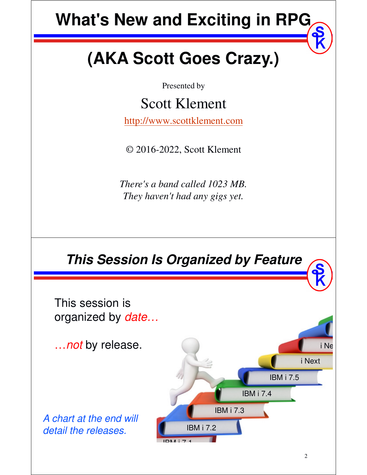# **What's New and Exciting in RPG**

# **(AKA Scott Goes Crazy.)**

Presented by

Scott Klement

http://www.scottklement.com

© 2016-2022, Scott Klement

*There's a band called 1023 MB. They haven't had any gigs yet.*

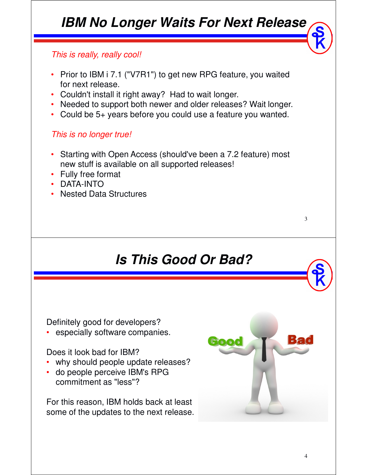# *IBM No Longer Waits For Next Release*

#### This is really, really cool!

- Prior to IBM i 7.1 ("V7R1") to get new RPG feature, you waited for next release.
- Couldn't install it right away? Had to wait longer.
- Needed to support both newer and older releases? Wait longer.
- Could be 5+ years before you could use a feature you wanted.

#### This is no longer true!

- Starting with Open Access (should've been a 7.2 feature) most new stuff is available on all supported releases!
- Fully free format
- DATA-INTO
- Nested Data Structures

#### *Is This Good Or Bad?*

Definitely good for developers?

especially software companies.

#### Does it look bad for IBM?

- why should people update releases?
- do people perceive IBM's RPG commitment as "less"?

For this reason, IBM holds back at least some of the updates to the next release.



3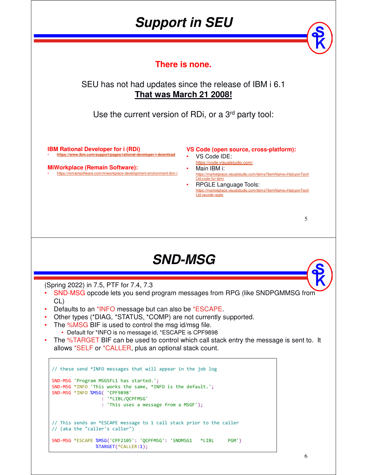#### *Support in SEU*

**There is none.**

#### SEU has not had updates since the release of IBM i 6.1 **That was March 21 2008!**

Use the current version of RDi, or a 3<sup>rd</sup> party tool:

**IBM Rational Developer for i (RDi)** • **https://www.ibm.com/support/pages/rational-developer-i-download**

**MiWorkplace (Remain Software):** • https://remainsoftware.com/miworkplace-development-environment-ibm-i **VS Code (open source, cross-platform):**

- VS Code IDE:
- https://code.visualstudio.com/ • Main IBM i:
- https://marketplace.visualstudio.com/items?itemName=HalcyonTech Ltd.code-for-ibmi
- RPGLE Language Tools:<br>https://marketplace.visualstudio.com/ite visualstudio.com/items?itemName=HalcyonTech Ltd.vscode-rpgle

#### *SND-MSG*

(Spring 2022) in 7.5, PTF for 7.4, 7.3

- SND-MSG opcode lets you send program messages from RPG (like SNDPGMMSG from CL)
- Defaults to an \*INFO message but can also be \*ESCAPE.
- Other types (\*DIAG, \*STATUS, \*COMP) are not currently supported.
- The %MSG BIF is used to control the msg id/msg file.
- Default for \*INFO is no message id, \*ESCAPE is CPF9898
- The %TARGET BIF can be used to control which call stack entry the message is sent to. It allows \*SELF or \*CALLER, plus an optional stack count.

```
// these send *INFO messages that will appear in the job log
SND-MSG 'Program MSGSFL1 has started.';
SND-MSG *INFO 'This works the same, *INFO is the default.';
SND-MSG *INFO %MSG( 'CPF9898'
                  : '*LIBL/QCPFMSG'
                  : 'This uses a message from a MSGF');
// This sends an *ESCAPE message to 1 call stack prior to the caller
// (aka the "caller's caller")
SND-MSG *ESCAPE %MSG('CPF2105': 'QCPFMSG': 'SNDMSG1 *LIBL PGM')
               %TARGET(*CALLER:1);
```
5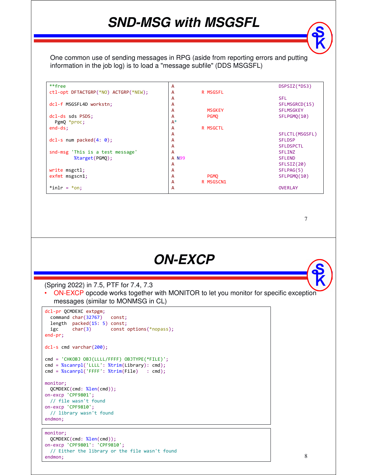#### *SND-MSG with MSGSFL*

One common use of sending messages in RPG (aside from reporting errors and putting information in the job log) is to load a "message subfile" (DDS MSGSFL)

| **free                               | A              |               | DSPSIZ(*DS3)     |
|--------------------------------------|----------------|---------------|------------------|
| ctl-opt DFTACTGRP(*NO) ACTGRP(*NEW); | A              | R MSGSFL      |                  |
|                                      | A              |               | <b>SFL</b>       |
| dcl-f MSGSFL4D workstn;              | A              |               | SFLMSGRCD(15)    |
|                                      | A              | <b>MSGKEY</b> | <b>SFLMSGKEY</b> |
| dcl-ds sds PSDS;                     | A              | <b>PGMO</b>   | SFLPGMO(10)      |
| PgmQ *proc;                          | $A^*$          |               |                  |
| $end-ds$ ;                           | A              | R MSGCTL      |                  |
|                                      | A              |               | SFLCTL (MSGSFL)  |
| $dcl-s$ num packed $(4: 0);$         | A              |               | <b>SFLDSP</b>    |
|                                      | A              |               | <b>SFLDSPCTL</b> |
| snd-msg 'This is a test message'     | A              |               | <b>SFLINZ</b>    |
| %target(PGMQ);                       | A N99          |               | <b>SFLEND</b>    |
|                                      | $\overline{A}$ |               | SFLSIZ(20)       |
| write msgctl;                        | A              |               | SFLPAG(5)        |
| exfmt msgscn1;                       | A              | <b>PGMO</b>   | SFLPGMQ(10)      |
|                                      | A              | R MSGSCN1     |                  |
| $*inlr = *on;$                       | A              |               | <b>OVERLAY</b>   |

7

#### *ON-EXCP*

(Spring 2022) in 7.5, PTF for 7.4, 7.3

• ON-EXCP opcode works together with MONITOR to let you monitor for specific exception messages (similar to MONMSG in CL)

```
dcl-pr QCMDEXC extpgm;
  command char(32767) const;
  length packed(15: 5) const;
 igc char(3) const options(*nopass);
end-pr;
dcl-s cmd varchar(200);
cmd = 'CHKOBJ OBJ(LLLL/FFFF) OBJTYPE(*FILE)';
cmd = %scanrpl('LLLL': %trim(Library): cmd);
cmd = %scanrpl('FFFF': %trim(File) : cmd);
monitor;
  QCMDEXC(cmd: %len(cmd));
on-excp 'CPF9801';
 // file wasn't found
on-excp 'CPF9810';
 // library wasn't found
endmon;
```

```
monitor;
 QCMDEXC(cmd: %len(cmd));
on-excp 'CPF9801': 'CPF9810';
 // Either the library or the file wasn't found
endmon;
```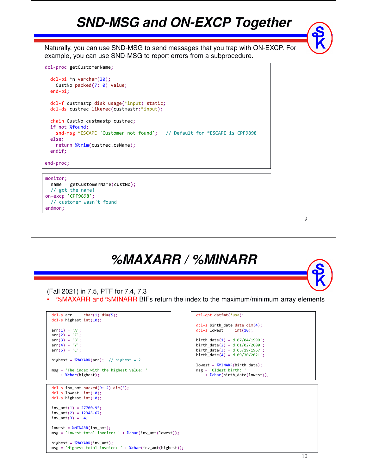#### *SND-MSG and ON-EXCP Together*

Naturally, you can use SND-MSG to send messages that you trap with ON-EXCP. For example, you can use SND-MSG to report errors from a subprocedure.

```
dcl-proc getCustomerName;
```

```
dcl-pi *n varchar(30);
 CustNo packed(7: 0) value;
end-pi;
dcl-f custmastp disk usage(*input) static;
dcl-ds custrec likerec(custmastr:*input);
chain CustNo custmastp custrec;
if not %found;
 snd-msg *ESCAPE 'Customer not found'; // Default for *ESCAPE is CPF9898
else;
 return %trim(custrec.csName);
endif;
```
end-proc;

#### monitor;

```
name = getCustomerName(custNo);
  // got the name!
on-excp 'CPF9898';
 // customer wasn't found
endmon;
```
9

#### *%MAXARR / %MINARR*

(Fall 2021) in 7.5, PTF for 7.4, 7.3

• %MAXARR and %MINARR BIFs return the index to the maximum/minimum array elements

```
dcl-s arr char(1) dim(5);
dcl-s highest int(10);
arr(1) = 'A';arr(2) = 'Z';arr(3) = 'B';
arr(4) = 'Y';arr(5) = 'C';highest = %MAXARR(arr); // highest = 2
msg = 'The index with the highest value: '
   + %char(highest);
dcl-s inv_amt packed(9: 2) dim(3);
dcl-s lowest int(10);
dcl-s highest int(10);
inv\_amt(1) = 27700.95;inv\_amt(2) = 12345.67;inv\_amt(3) = -4;lowest = %MINARR(inv_amt);
msg = 'Lowest total invoice: ' + %char(inv_amt(lowest));
```

```
highest = %MAXARR(inv_amt);
msg = 'Highest total invoice: ' + %char(inv_amt(highest));
```

```
ctl-opt datfmt(*usa);
dcl-s birth_date date dim(4);
dcl-s lowest int(10);
birth_date(1) = d'07/04/1999';
birth\_date(2) = d'01/02/2000';\text{birth} date(3) = d'05/19/1967';
birth_date(4) = d'09/30/2021';
```

```
lowest = %MINARR(birth_date);
msg = 'Oldest birth:+ %char(birth_date(lowest));
```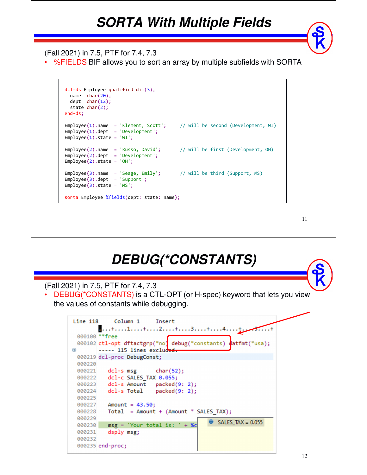#### *SORTA With Multiple Fields*

(Fall 2021) in 7.5, PTF for 7.4, 7.3

• %FIELDS BIF allows you to sort an array by multiple subfields with SORTA

```
dcl-ds Employee qualified dim(3);
 name char(20);
 dept char(12);
 state char(2);
end-ds;
Employee(1).name = 'Klement, Scott'; // will be second (Development, WI)
Employee(1).dept = 'Development';
Employee(1).state = 'WI';Employee(2).name = 'Russo, David'; // will be first (Development, OH)
Employee(2).dept = 'Development';Employee(2).state = 'OH';
Employee(3).name = 'Seage, Emily'; // will be third (Support, MS)
Employee(3).dept = 'Support';Employee(3).state = 'MS';
sorta Employee %fields(dept: state: name);
```
11

#### *DEBUG(\*CONSTANTS)*

(Fall 2021) in 7.5, PTF for 7.4, 7.3

• DEBUG(\*CONSTANTS) is a CTL-OPT (or H-spec) keyword that lets you view the values of constants while debugging.

```
Line 118
            Column<sub>1</sub>
                        Insert
       ....+....1.....+....2.....+....3....+.....4...
 000100 ** free
 000102 ctl-opt dftactgrp(*no) debug(*constants)
                                              datfmt(*usa);
      ----- 115 lines exclud<del>ed</del>
Ð
 000219 dcl-proc DebugConst;
 000220
         dcl-s msg
 000221
                       char(52);000222
        dcl-c SALES TAX 0.055;
 000223
        dcl-s Amount packed(9: 2);
        dcl-s Total packet(9: 2);
 000224
 000225
 000227
          Amount = 43.50;
 000228
          Total = Amount + (Amount * SALES TAX);000229
                                           SALES_TAX = 0.055000231
          dsply msg;
 000232
 000235 end-proc;
```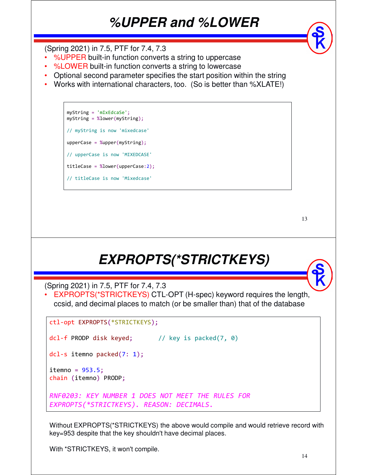#### *%UPPER and %LOWER*

(Spring 2021) in 7.5, PTF for 7.4, 7.3

- %UPPER built-in function converts a string to uppercase
- %LOWER built-in function converts a string to lowercase
- Optional second parameter specifies the start position within the string
- Works with international characters, too. (So is better than %XLATE!)

```
myString = 'mIxEdcaSe';
myString = %lower(myString);
// myString is now 'mixedcase'
upperCase = %upper(myString);
// upperCase is now 'MIXEDCASE'
titleCase = %lower(upperCase:2);
// titleCase is now 'Mixedcase'
```
13

# *EXPROPTS(\*STRICTKEYS)*

(Spring 2021) in 7.5, PTF for 7.4, 7.3

• EXPROPTS(\*STRICTKEYS) CTL-OPT (H-spec) keyword requires the length, ccsid, and decimal places to match (or be smaller than) that of the database

ctl-opt EXPROPTS(\*STRICTKEYS);

```
dcl-f PRODP disk keyed; // key is packed(7, 0)
```

```
dcl-s itemno packed(7: 1);
```
 $itemno = 953.5;$ chain (itemno) PRODP;

```
RNF0203: KEY NUMBER 1 DOES NOT MEET THE RULES FOR 
EXPROPTS(*STRICTKEYS). REASON: DECIMALS.
```
Without EXPROPTS(\*STRICTKEYS) the above would compile and would retrieve record with key=953 despite that the key shouldn't have decimal places.

With \*STRICTKEYS, it won't compile.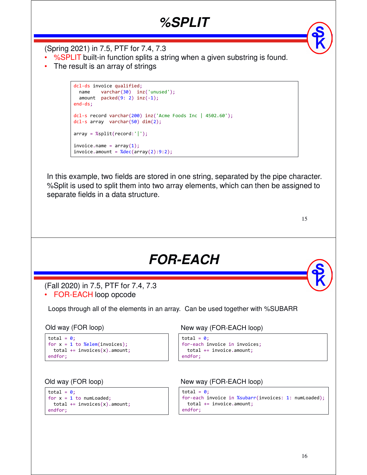#### *%SPLIT*

(Spring 2021) in 7.5, PTF for 7.4, 7.3

- %SPLIT built-in function splits a string when a given substring is found.
- The result is an array of strings

```
dcl-ds invoice qualified;
 name varchar(30) inz('unused');
 amount packet(9: 2) inz(-1);end-ds;
dcl-s record varchar(200) inz('Acme Foods Inc | 4502.60');
dcl-s array varchar(50) dim(2);
array = %split(record:');
invoice.name = array(1);invoice.annotation = %dec(array(2):9:2);
```
In this example, two fields are stored in one string, separated by the pipe character. %Split is used to split them into two array elements, which can then be assigned to separate fields in a data structure.

| I<br>۰.<br>٠ |
|--------------|
|              |

```
FOR-EACH
(Fall 2020) in 7.5, PTF for 7.4, 7.3
```
• FOR-EACH loop opcode

Loops through all of the elements in an array. Can be used together with %SUBARR

```
total = 0;
for x = 1 to %elem(invoices);
 total += invoices(x). amount;
endfor;
```

```
total = \theta;
for x = 1 to numLoaded;
 total += invoices(x). amount;
endfor;
```
#### Old way (FOR loop) New way (FOR-EACH loop)

```
total = 0;
for-each invoice in invoices;
  total += invoice.amount;
endfor;
```
#### Old way (FOR loop) New way (FOR-EACH loop)

```
total = 0;for-each invoice in %subarr(invoices: 1: numLoaded);
 total += invoice.amount;
endfor;
```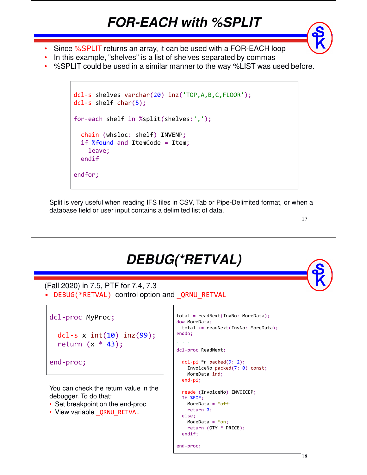### *FOR-EACH with %SPLIT*

- 
- Since %SPLIT returns an array, it can be used with a FOR-EACH loop
- In this example, "shelves" is a list of shelves separated by commas
- %SPLIT could be used in a similar manner to the way %LIST was used before.

```
dcl-s shelves varchar(20) inz('TOP,A,B,C,FLOOR');
dcl-s shelf char(5);
for-each shelf in %split(shelves:',');
  chain (whsloc: shelf) INVENP;
  if %found and ItemCode = Item;
    leave;
  endif
endfor;
```
Split is very useful when reading IFS files in CSV, Tab or Pipe-Delimited format, or when a database field or user input contains a delimited list of data.

17

#### *DEBUG(\*RETVAL)*

(Fall 2020) in 7.5, PTF for 7.4, 7.3 • DEBUG(\*RETVAL) control option and ORNU\_RETVAL

dcl-proc MyProc; dcl-s  $x \text{ int}(10) \text{ in}(99)$ ; return  $(x * 43)$ ; end-proc; You can check the return value in the debugger. To do that: • Set breakpoint on the end-proc

- 
- View variable QRNU RETVAL

```
total = readNext(InvNo: MoreData);
dow MoreData;
 total += readNext(InvNo: MoreData);
enddo;
. . .
dcl-proc ReadNext;
  dcl-pi *n packed(9: 2);
   InvoiceNo packed(7: 0) const;
   MoreData ind;
 end-pi;
  reade (InvoiceNo) INVOICEP;
 If %EOF;
   MoreData = *off;
   return 0;
  else;
   ModeData = *on;return (QTY * PRICE);
  endif;
end-proc;
```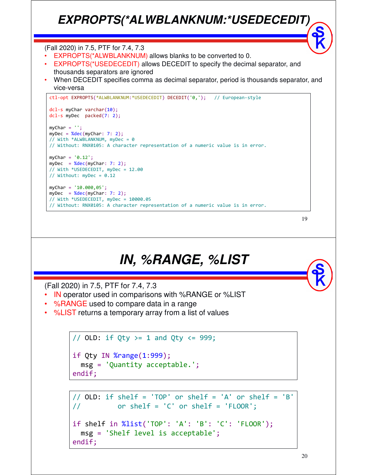#### *EXPROPTS(\*ALWBLANKNUM:\*USEDECEDIT)*

#### (Fall 2020) in 7.5, PTF for 7.4, 7.3

- EXPROPTS(\*ALWBLANKNUM) allows blanks to be converted to 0.
- EXPROPTS(\*USEDECEDIT) allows DECEDIT to specify the decimal separator, and thousands separators are ignored
- When DECEDIT specifies comma as decimal separator, period is thousands separator, and vice-versa

```
ctl-opt EXPROPTS(*ALWBLANKNUM:*USEDECEDIT) DECEDIT('0,'); // European-style
dcl-s myChar varchar(10);
dcl-s myDec packed(7: 2);
myChar = '':myDec = %dec(myChar: 7: 2);// With *ALWBLANKNUM, myDec = \theta// Without: RNX0105: A character representation of a numeric value is in error.
myChar = '0.12';
myDec = %dec(myChar: 7: 2);// With *USEDECEDIT, myDec = 12.00
// Without: myDec = 0.12
myChar = '10.000,05';
myDec = %dec(myChar: 7: 2);// With *USEDECEDIT, myDec = 10000.05
// Without: RNX0105: A character representation of a numeric value is in error.
```

```
19
```
#### *IN, %RANGE, %LIST*

(Fall 2020) in 7.5, PTF for 7.4, 7.3

- IN operator used in comparisons with %RANGE or %LIST
- %RANGE used to compare data in a range
- %LIST returns a temporary array from a list of values

```
// OLD: if Qty >= 1 and Qty \langle = 999;
if Qty IN %range(1:999);
  msg = 'Quantity acceptable.';
endif;
```

```
// OLD: if shelf = 'TOP' or shelf = 'A' or shelf = 'B'
// or shelf = 'C' or shelf = 'FLOOR';
if shelf in %list('TOP': 'A': 'B': 'C': 'FLOOR');
  msg = 'Shelf level is acceptable';
endif;
```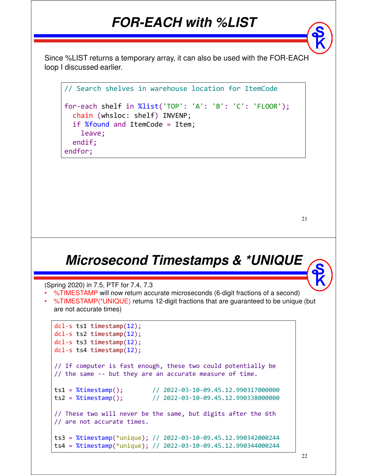#### *FOR-EACH with %LIST*

Since %LIST returns a temporary array, it can also be used with the FOR-EACH loop I discussed earlier.

```
// Search shelves in warehouse location for ItemCode
for-each shelf in %list('TOP': 'A': 'B': 'C': 'FLOOR');
  chain (whsloc: shelf) INVENP;
  if %found and ItemCode = Item;
    leave;
  endif;
endfor;
```

```
21
```
#### *Microsecond Timestamps & \*UNIQUE*

```
(Spring 2020) in 7.5, PTF for 7.4, 7.3
```
- %TIMESTAMP will now return accurate microseconds (6-digit fractions of a second)
- %TIMESTAMP(\*UNIQUE) returns 12-digit fractions that are guaranteed to be unique (but are not accurate times)

```
dcl-s ts1 timestamp(12);
dcl-s ts2 timestamp(12);
dcl-s ts3 timestamp(12);
dcl-s ts4 timestamp(12);
// If computer is fast enough, these two could potentially be 
// the same -- but they are an accurate measure of time.
ts1 = %timesamp(); // 2022-03-10-09.45.12.990317000000
ts2 = %timestamp(); // 2022-03-10-09.45.12.990338000000
// These two will never be the same, but digits after the 6th
// are not accurate times.
ts3 = %timestamp(*unique); // 2022-03-10-09.45.12.990342000244
ts4 = %timestamp(*unique); // 2022-03-10-09.45.12.990344000244
```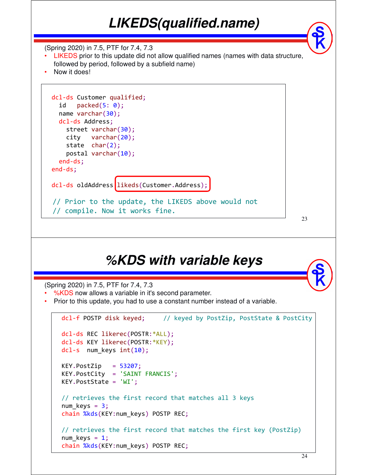# *LIKEDS(qualified.name)*

(Spring 2020) in 7.5, PTF for 7.4, 7.3

- LIKEDS prior to this update did not allow qualified names (names with data structure, followed by period, followed by a subfield name)
- Now it does!

```
dcl-ds Customer qualified;
 id packed(5: 0);
 name varchar(30);
 dcl-ds Address;
   street varchar(30);
   city varchar(20);
   state char(2);
   postal varchar(10);
 end-ds;
end-ds;
dcl-ds oldAddress likeds(Customer.Address);
// Prior to the update, the LIKEDS above would not
// compile. Now it works fine.
```
23

#### *%KDS with variable keys*

(Spring 2020) in 7.5, PTF for 7.4, 7.3

- %KDS now allows a variable in it's second parameter.
- Prior to this update, you had to use a constant number instead of a variable.

```
dcl-f POSTP disk keyed; // keyed by PostZip, PostState & PostCity
dcl-ds REC likerec(POSTR:*ALL);
dcl-ds KEY likerec(POSTR:*KEY);
dcl-s num keys int(10);
KEY.PostZip = 53207;KEY.PostCity = 'SAINT FRANCIS';
KEY.PostState = 'WI';
// retrieves the first record that matches all 3 keys
num\_keys = 3;chain %kds(KEY:num_keys) POSTP REC;
// retrieves the first record that matches the first key (PostZip)
num\_keys = 1;chain %kds(KEY:num keys) POSTP REC;
```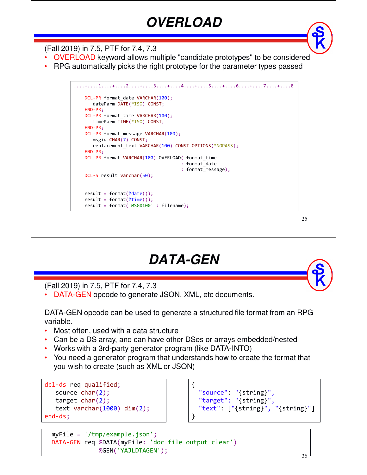# *OVERLOAD*

(Fall 2019) in 7.5, PTF for 7.4, 7.3

- OVERLOAD keyword allows multiple "candidate prototypes" to be considered
- RPG automatically picks the right prototype for the parameter types passed

```
....+....1....+....2....+....3....+....4....+....5....+....6....+....7....+....8 
   DCL-PR format_date VARCHAR(100);
      dateParm DATE(*ISO) CONST;
   END-PR;
   DCL-PR format time VARCHAR(100);
      timeParm TIME(*ISO) CONST;
   END-PR;
   DCL-PR format_message VARCHAR(100);
     msgid CHAR(7) CONST;
      replacement_text VARCHAR(100) CONST OPTIONS(*NOPASS);
   END-PR;
   DCL-PR format VARCHAR(100) OVERLOAD( format_time
                                       : format_date
                                       : format_message);
   DCL-S result varchar(50);
   result = format(<math>8date()</math>);result = format(\%time());
   result = format('MSG0100' : filename);
```
25

#### *DATA-GEN*

(Fall 2019) in 7.5, PTF for 7.4, 7.3

• DATA-GEN opcode to generate JSON, XML, etc documents.

DATA-GEN opcode can be used to generate a structured file format from an RPG variable.

- Most often, used with a data structure
- Can be a DS array, and can have other DSes or arrays embedded/nested
- Works with a 3rd-party generator program (like DATA-INTO)
- You need a generator program that understands how to create the format that you wish to create (such as XML or JSON)

```
dcl-ds req qualified;
   source char(2);
   target char(2);
   text varchar(1000) dim(2);
end-ds;
```

```
{
  "source": "{string}",
 "target": "{string}",
 "text": ["{string}", "{string}"]
}
```

```
myFile = '/tmp/example.json';
DATA-GEN req %DATA(myFile: 'doc=file output=clear')
             %GEN('YAJLDTAGEN');
```
26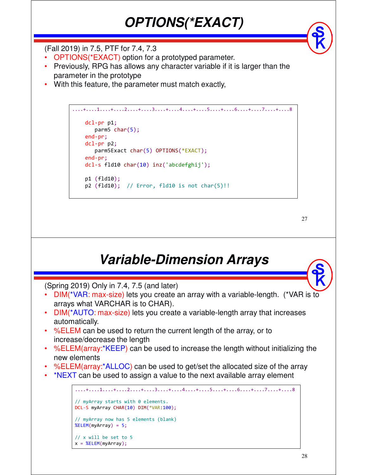

- OPTIONS(\*EXACT) option for a prototyped parameter.
- Previously, RPG has allows any character variable if it is larger than the parameter in the prototype

*OPTIONS(\*EXACT)*

• With this feature, the parameter must match exactly,

```
....+....1....+....2....+....3....+....4....+....5....+....6....+....7....+....8 
   dcl-pr p1;
      parm5 char(5);
   end-pr;
   dcl-pr p2;
      parm5Exact char(5) OPTIONS(*EXACT);
   end-pr;
   dcl-s fld10 char(10) inz('abcdefghij');
   p1 (fld10);
   p2 (fld10); // Error, fld10 is not char(5)!!
```
27

#### *Variable-Dimension Arrays*

(Spring 2019) Only in 7.4, 7.5 (and later)

- DIM(\*VAR: max-size) lets you create an array with a variable-length. (\*VAR is to arrays what VARCHAR is to CHAR).
- DIM(\*AUTO: max-size) lets you create a variable-length array that increases automatically.
- %ELEM can be used to return the current length of the array, or to increase/decrease the length
- %ELEM(array:\*KEEP) can be used to increase the length without initializing the new elements
- %ELEM(array:\*ALLOC) can be used to get/set the allocated size of the array
- \*NEXT can be used to assign a value to the next available array element

```
....+....1....+....2....+....3....+....4....+....5....+....6....+....7....+....8 
// myArray starts with 0 elements. 
DCL-S myArray CHAR(10) DIM(*VAR:100);
// myArray now has 5 elements (blank) 
%ELEM(myArray) = 5;
// x will be set to 5
x = %ELEM(myArray);
```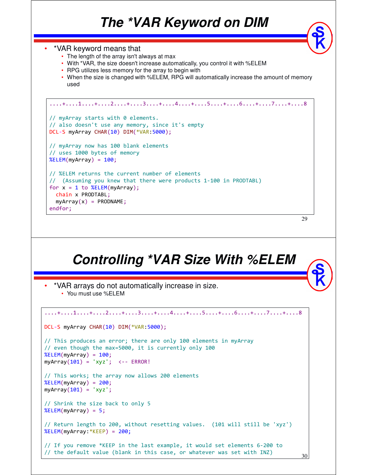#### *The \*VAR Keyword on DIM*

29 • \*VAR keyword means that • The length of the array isn't always at max • With \*VAR, the size doesn't increase automatically, you control it with %ELEM • RPG utilizes less memory for the array to begin with • When the size is changed with %ELEM, RPG will automatically increase the amount of memory used ....+....1....+....2....+....3....+....4....+....5....+....6....+....7....+....8 // myArray starts with 0 elements. // also doesn't use any memory, since it's empty DCL-S myArray CHAR(10) DIM(\*VAR:5000); // myArray now has 100 blank elements // uses 1000 bytes of memory  $%ELEM(mvArray) = 100;$ // %ELEM returns the current number of elements // (Assuming you knew that there were products 1-100 in PRODTABL) for  $x = 1$  to  $%ELEM(myArray)$ ; chain x PRODTABL;  $myArray(x) = PRODNAME;$ endfor; *Controlling \*VAR Size With %ELEM* • \*VAR arrays do not automatically increase in size.

• You must use %ELEM

30 ....+....1....+....2....+....3....+....4....+....5....+....6....+....7....+....8 DCL-S myArray CHAR(10) DIM(\*VAR:5000); // This produces an error; there are only 100 elements in myArray // even though the max=5000, it is currently only 100  $%ELEM(myArray) = 100;$  $myArray(101) = 'xyz'; < -$  ERROR! // This works; the array now allows 200 elements  $%ELEM(myArray) = 200;$  $myArray(101) = 'xyz';$ // Shrink the size back to only 5  $%ELEM(myArray) = 5;$ // Return length to 200, without resetting values. (101 will still be 'xyz') %ELEM(myArray:\*KEEP) = 200; // If you remove \*KEEP in the last example, it would set elements 6-200 to // the default value (blank in this case, or whatever was set with INZ)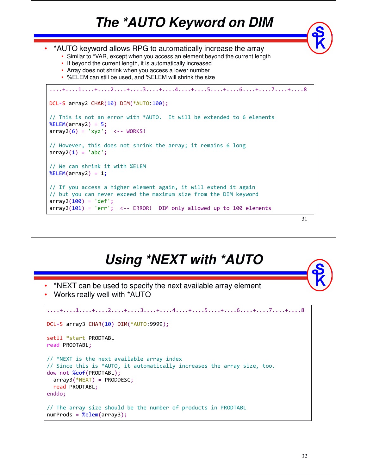# *The \*AUTO Keyword on DIM*

```
• *AUTO keyword allows RPG to automatically increase the array
    • Similar to *VAR, except when you access an element beyond the current length
   • If beyond the current length, it is automatically increased
   • Array does not shrink when you access a lower number
   • %ELEM can still be used, and %ELEM will shrink the size
....+....1....+....2....+....3....+....4....+....5....+....6....+....7....+....8 
DCL-S array2 CHAR(10) DIM(*AUTO:100);
// This is not an error with *AUTO. It will be extended to 6 elements
%ELEM(array2) = 5;array2(6) = 'xyz'; <-- WORKS!
// However, this does not shrink the array; it remains 6 long
array2(1) = 'abc';// We can shrink it with %ELEM
%ELEM(array2) = 1;
// If you access a higher element again, it will extend it again
// but you can never exceed the maximum size from the DIM keyword
array2(100) = 'def';array2(101) = 'err'; <-- ERROR! DIM only allowed up to 100 elements
```

```
31
```
### *Using \*NEXT with \*AUTO*

- \*NEXT can be used to specify the next available array element
- Works really well with \*AUTO

```
....+....1....+....2....+....3....+....4....+....5....+....6....+....7....+....8 
DCL-S array3 CHAR(10) DIM(*AUTO:9999);
setll *start PRODTABL
read PRODTABL;
// *NEXT is the next available array index
// Since this is *AUTO, it automatically increases the array size, too.
dow not %eof(PRODTABL);
 array3(*)RODDESC;
 read PRODTABL;
enddo;
// The array size should be the number of products in PRODTABL
numProds = %elem(array3);
```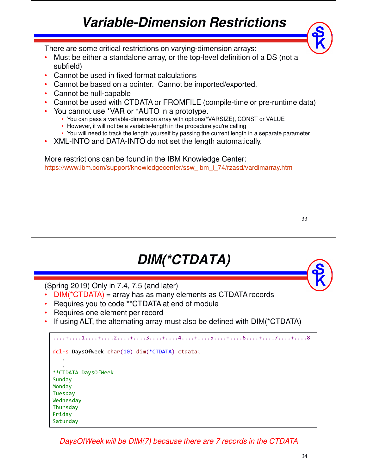# *Variable-Dimension Restrictions*

There are some critical restrictions on varying-dimension arrays:

- Must be either a standalone array, or the top-level definition of a DS (not a subfield)
- Cannot be used in fixed format calculations
- Cannot be based on a pointer. Cannot be imported/exported.
- Cannot be null-capable
- Cannot be used with CTDATA or FROMFILE (compile-time or pre-runtime data)
- You cannot use \*VAR or \*AUTO in a prototype.
	- You can pass a variable-dimension array with options(\*VARSIZE), CONST or VALUE
	- However, it will not be a variable-length in the procedure you're calling
	- You will need to track the length yourself by passing the current length in a separate parameter
- XML-INTO and DATA-INTO do not set the length automatically.

More restrictions can be found in the IBM Knowledge Center: https://www.ibm.com/support/knowledgecenter/ssw\_ibm\_i\_74/rzasd/vardimarray.htm

# *DIM(\*CTDATA)*

(Spring 2019) Only in 7.4, 7.5 (and later)

- DIM(\*CTDATA) = array has as many elements as CTDATA records
- Requires you to code \*\*CTDATA at end of module
- Requires one element per record
- If using ALT, the alternating array must also be defined with  $DIM(^*CTDATA)$

```
....+....1....+....2....+....3....+....4....+....5....+....6....+....7....+....8 
dcl-s DaysOfWeek char(10) dim(*CTDATA) ctdata;
   .
   .
**CTDATA DaysOfWeek
Sunday
Monday
Tuesday
Wednesday
Thursday
Friday
Saturday
```
DaysOfWeek will be DIM(7) because there are 7 records in the CTDATA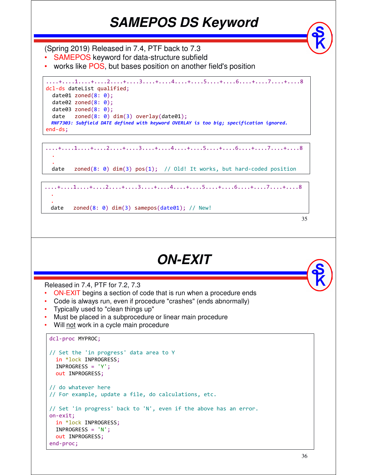### *SAMEPOS DS Keyword*

(Spring 2019) Released in 7.4, PTF back to 7.3

- SAMEPOS keyword for data-structure subfield
- works like POS, but bases position on another field's position

```
....+....1....+....2....+....3....+....4....+....5....+....6....+....7....+....8 
dcl-ds dateList qualified;
  date01 zoned(8: 0);
  date02 zoned(8: 0);
  date03 zoned(8: 0);date zoned(8: 0) dim(3) overlay(date01);
 RNF7303: Subfield DATE defined with keyword OVERLAY is too big; specification ignored.
end-ds;
```
....+....1....+....2....+....3....+....4....+....5....+....6....+....7....+....8 .

date zoned(8:  $\theta$ ) dim(3)  $pos(1)$ ; // Old! It works, but hard-coded position

```
....+....1....+....2....+....3....+....4....+....5....+....6....+....7....+....8 
 .
 .
date zoned(8: 0) dim(3) samepos(date01); // New!
```

```
35
```
#### *ON-EXIT*

Released in 7.4, PTF for 7.2, 7.3

- ON-EXIT begins a section of code that is run when a procedure ends
- Code is always run, even if procedure "crashes" (ends abnormally)
- Typically used to "clean things up"
- Must be placed in a subprocedure or linear main procedure
- Will not work in a cycle main procedure

```
dcl-proc MYPROC;
```
.

```
// Set the 'in progress' data area to Y
 in *lock INPROGRESS;
 INPROGRESS = 'Y';
 out INPROGRESS;
// do whatever here
// For example, update a file, do calculations, etc.
// Set 'in progress' back to 'N', even if the above has an error.
on-exit; 
 in *lock INPROGRESS;
 INPROGRESS = 'N';
 out INPROGRESS;
end-proc;
```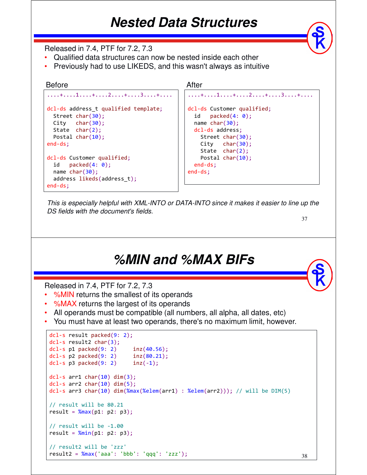#### *Nested Data Structures*

Released in 7.4, PTF for 7.2, 7.3

- Qualified data structures can now be nested inside each other
- Previously had to use LIKEDS, and this wasn't always as intuitive

```
....+....1....+....2....+....3....+.... 
dcl-ds address t qualified template;
  Street char(30);
 City char(30);
  State char(2);
 Postal char(10);
end-ds;
dcl-ds Customer qualified;
 id packet(4: 0);name char(30);
  address likeds(address_t);
end-ds;
Before After
```

```
....+....1....+....2....+....3....+....
dcl-ds Customer qualified;
 id packed(4: 0);
 name char(30);
 dcl-ds address;
   Street char(30);
   City char(30);
   State char(2);
   Postal char(10);
 end-ds;
end-ds;
```
This is especially helpful with XML-INTO or DATA-INTO since it makes it easier to line up the DS fields with the document's fields.

37

#### *%MIN and %MAX BIFs*

Released in 7.4, PTF for 7.2, 7.3

- %MIN returns the smallest of its operands
- %MAX returns the largest of its operands
- All operands must be compatible (all numbers, all alpha, all dates, etc)
- You must have at least two operands, there's no maximum limit, however.

```
dcl-s result packed(9: 2);
dcl-s result2 char(3);
dcl-s p1 packed(9: 2) inz(40.56);
dcl-s p2 packed(9: 2) inz(80.21);
dcl-s p3 packed(9: 2) inz(-1);
dcl-s arr1 char(10) dim(3);
dcl-s arr2 char(10) dim(5);
dcl-s arr3 char(10) dim(%max(%elem(arr1) : %elem(arr2))); // will be DIM(5)
// result will be 80.21
result = %max(p1: p2: p3);// result will be -1.00
result = \frac{\text{Nmin}}{\text{min}}(p1: p2: p3);
// result2 will be 'zzz'
result2 = %max('aaa': 'bbb': 'qqq': 'zzz');
```
38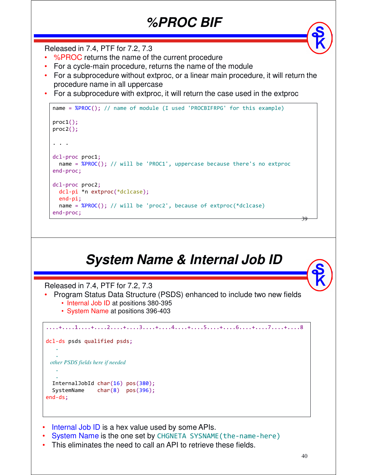### *%PROC BIF*

Released in 7.4, PTF for 7.2, 7.3

- %PROC returns the name of the current procedure
- For a cycle-main procedure, returns the name of the module
- For a subprocedure without extproc, or a linear main procedure, it will return the procedure name in all uppercase
- For a subprocedure with extproc, it will return the case used in the extproc

```
name = %PROC(); // name of module (I used 'PROCBIFRPG' for this example)
proc1();
proc2();
. . .
dcl-proc proc1;
 name = %PROC(); // will be 'PROC1', uppercase because there's no extproc
end-proc;
dcl-proc proc2;
  dcl-pi *n extproc(*dclcase);
  end-pi;
  name = %PROC(); // will be 'proc2', because of extproc(*dclcase)
end-proc;
```
# *System Name & Internal Job ID*

Released in 7.4, PTF for 7.2, 7.3

- Program Status Data Structure (PSDS) enhanced to include two new fields
	- Internal Job ID at positions 380-395
	- System Name at positions 396-403

```
....+....1....+....2....+....3....+....4....+....5....+....6....+....7....+....8 
dcl-ds psds qualified psds;
   .
   .
 other PSDS fields here if needed
   .
   .
  InternalJobId char(16) pos(380);
  SystemName char(8) pos(396);
end-ds;
```
- Internal Job ID is a hex value used by some APIs.
- System Name is the one set by CHGNETA SYSNAME (the-name-here)
- This eliminates the need to call an API to retrieve these fields.

39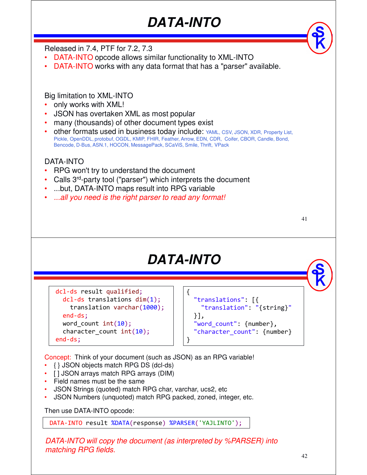# *DATA-INTO*

Released in 7.4, PTF for 7.2, 7.3

- DATA-INTO opcode allows similar functionality to XML-INTO
- DATA-INTO works with any data format that has a "parser" available.

Big limitation to XML-INTO

- only works with XML!
- JSON has overtaken XML as most popular
- many (thousands) of other document types exist
- other formats used in business today include: YAML, CSV, JSON, XDR, Property List, Pickle, OpenDDL, protobuf, OGDL, KMIP, FHIR, Feather, Arrow, EDN, CDR, Coifer, CBOR, Candle, Bond, Bencode, D-Bus, ASN.1, HOCON, MessagePack, SCaViS, Smile, Thrift, VPack

DATA-INTO

- RPG won't try to understand the document
- Calls 3rd-party tool ("parser") which interprets the document
- ...but, DATA-INTO maps result into RPG variable
- ...all you need is the right parser to read any format!

41

# *DATA-INTO*

{

}

dcl-ds result qualified; dcl-ds translations dim(1); translation varchar(1000); end-ds; word\_count int(10); character count  $int(10);$ end-ds;

```
"translations": [{
  "translation": "{string}"
}],
"word count": {number},
"character_count": {number}
```
Concept: Think of your document (such as JSON) as an RPG variable!

- { } JSON objects match RPG DS (dcl-ds)
- [ ] JSON arrays match RPG arrays (DIM)
- Field names must be the same
- JSON Strings (quoted) match RPG char, varchar, ucs2, etc
- JSON Numbers (unquoted) match RPG packed, zoned, integer, etc.

Then use DATA-INTO opcode:

DATA-INTO result %DATA(response) %PARSER('YAJLINTO');

DATA-INTO will copy the document (as interpreted by %PARSER) into matching RPG fields.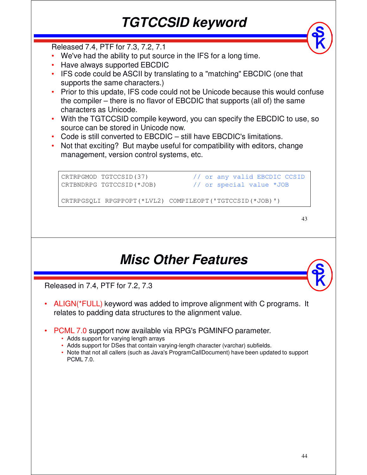# *TGTCCSID keyword*

Released 7.4, PTF for 7.3, 7.2, 7.1

- We've had the ability to put source in the IFS for a long time.
- Have always supported EBCDIC
- IFS code could be ASCII by translating to a "matching" EBCDIC (one that supports the same characters.)
- Prior to this update, IFS code could not be Unicode because this would confuse the compiler – there is no flavor of EBCDIC that supports (all of) the same characters as Unicode.
- With the TGTCCSID compile keyword, you can specify the EBCDIC to use, so source can be stored in Unicode now.
- Code is still converted to EBCDIC still have EBCDIC's limitations.
- Not that exciting? But maybe useful for compatibility with editors, change management, version control systems, etc.

```
CRTRPGMOD TGTCCSID(37) // or any valid EBCDIC CCSID
CRTBNDRPG TGTCCSID(*JOB) // or special value *JOB
CRTRPGSQLI RPGPPOPT(*LVL2) COMPILEOPT('TGTCCSID(*JOB)')
```
43

#### *Misc Other Features*

Released in 7.4, PTF for 7.2, 7.3

- ALIGN(\*FULL) keyword was added to improve alignment with C programs. It relates to padding data structures to the alignment value.
- PCML 7.0 support now available via RPG's PGMINFO parameter.
	- Adds support for varying length arrays
	- Adds support for DSes that contain varying-length character (varchar) subfields.
	- Note that not all callers (such as Java's ProgramCallDocument) have been updated to support PCML 7.0.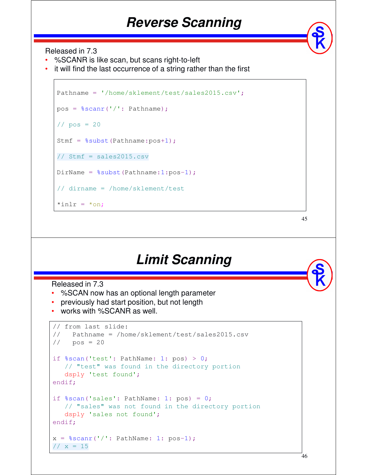#### *Reverse Scanning*

Released in 7.3

- %SCANR is like scan, but scans right-to-left
- it will find the last occurrence of a string rather than the first

```
Pathname = '/home/sklement/test/sales2015.csv';
pos = %scanr('/': Pathname);
1/1 pos = 20
Stmf = \text{Subst}(\text{Pathname:pos+1});// Stmf = sales2015.csv
DirName = %subst(Pathname:1:pos-1);// dirname = /home/sklement/test
*inlr = *on;
```
45

#### *Limit Scanning*

Released in 7.3

- %SCAN now has an optional length parameter
- previously had start position, but not length
- works with %SCANR as well.

```
// from last slide:
// Pathname = /home/sklement/test/sales2015.csv
1/1 pos = 20
if % scan('test': PathName: 1: pos) > 0;// "test" was found in the directory portion
  dsply 'test found';
endif;
if % scan('sales': PathName: 1: pos) = 0;// "sales" was not found in the directory portion
   dsply 'sales not found';
endif;
x = $scanr('/': PathName: 1: pos-1);
1/ x = 15
```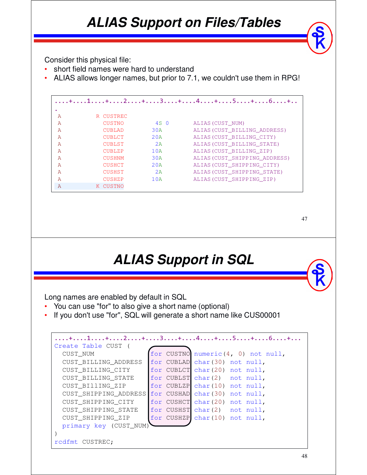### *ALIAS Support on Files/Tables*

Consider this physical file:

- short field names were hard to understand
- ALIAS allows longer names, but prior to 7.1, we couldn't use them in RPG!

|              |               |                 | . + 1 + 2 + 3 + 4 + 5 + 6 +   |
|--------------|---------------|-----------------|-------------------------------|
|              |               |                 |                               |
| A            | R CUSTREC     |                 |                               |
| A            | <b>CUSTNO</b> | 4S <sub>0</sub> | ALIAS (CUST NUM)              |
| A            | <b>CUBLAD</b> | 30A             | ALIAS (CUST BILLING ADDRESS)  |
| A            | <b>CUBLCT</b> | 2.0A            | ALIAS (CUST BILLING CITY)     |
| A            | <b>CUBLST</b> | 2A              | ALIAS (CUST BILLING STATE)    |
| A            | <b>CUBLZP</b> | 10A             | ALIAS (CUST BILLING ZIP)      |
| A            | <b>CUSHNM</b> | 30A             | ALIAS (CUST SHIPPING ADDRESS) |
| A            | <b>CUSHCT</b> | 2.0A            | ALIAS (CUST SHIPPING CITY)    |
| A            | <b>CUSHST</b> | 2A              | ALIAS (CUST SHIPPING STATE)   |
| A            | <b>CUSHZP</b> | 10A             | ALIAS (CUST SHIPPING ZIP)     |
| $\mathbb{A}$ | K CUSTNO      |                 |                               |

47

#### *ALIAS Support in SQL*

Long names are enabled by default in SQL

- You can use "for" to also give a short name (optional)
- If you don't use "for", SQL will generate a short name like CUS00001

|                        | . + 1 + 2 + 3 + 4 + 5 + 6 +        |
|------------------------|------------------------------------|
| Create Table CUST      |                                    |
| CUST NUM               | for CUSTNO numeric(4, 0) not null, |
| CUST BILLING ADDRESS   | for CUBLAD char (30) not null,     |
| CUST BILLING CITY      | for CUBLCT char(20) not null,      |
| CUST BILLING STATE     | for CUBLST char(2) not null,       |
| CUST BIllING ZIP       | for CUBLZP char (10) not null,     |
| CUST SHIPPING ADDRESS  | for CUSHAD char (30) not null,     |
| CUST SHIPPING CITY     | for CUSHCT char(20) not null,      |
| CUST SHIPPING STATE    | for CUSHST char(2) not null,       |
| CUST_SHIPPING_ZIP      | for CUSHZP char (10) not null,     |
| primary key (CUST_NUM) |                                    |
|                        |                                    |
| rcdfmt CUSTREC;        |                                    |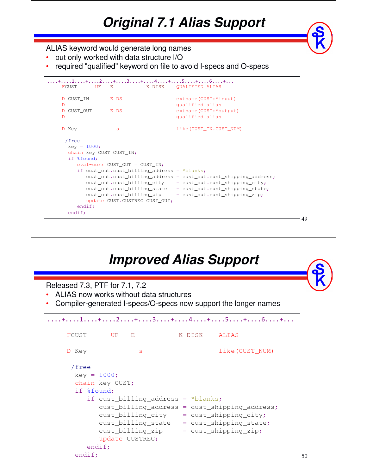# *Original 7.1 Alias Support*

#### ALIAS keyword would generate long names

- but only worked with data structure I/O
- required "qualified" keyword on file to avoid I-specs and O-specs

| FCUST            | UF E K DISK                                        | <b>OUALIFIED ALIAS</b>                                          |
|------------------|----------------------------------------------------|-----------------------------------------------------------------|
| D CUST IN        | E DS                                               | extname(CUST: *input)                                           |
| $\mathbb{D}$     |                                                    | qualified alias                                                 |
| D CUST_OUT       | E DS                                               | extname(CUST:*output)                                           |
| $\mathbb{D}$     |                                                    | qualified alias                                                 |
| D Key            | s.                                                 | like (CUST_IN.CUST_NUM)                                         |
| /free            |                                                    |                                                                 |
| $key = 1000;$    |                                                    |                                                                 |
|                  | chain key CUST CUST_IN;                            |                                                                 |
| if %found;       |                                                    |                                                                 |
|                  | $eval-corr$ CUST_OUT = CUST_IN;                    |                                                                 |
|                  | if $\text{cut.cust\_billing\_address} = *blanks$ ; |                                                                 |
|                  |                                                    | cust_out.cust_billing_address = cust_out.cust_shipping_address; |
|                  | cust_out.cust_billing_city                         | = cust_out.cust_shipping_city;                                  |
|                  |                                                    | cust_out.cust_billing_state = cust_out.cust_shipping_state;     |
|                  | cust_out.cust_billing_zip                          | = cust_out.cust_shipping_zip;                                   |
|                  | update CUST.CUSTREC CUST_OUT;                      |                                                                 |
| endif;<br>endif; |                                                    |                                                                 |
|                  |                                                    |                                                                 |

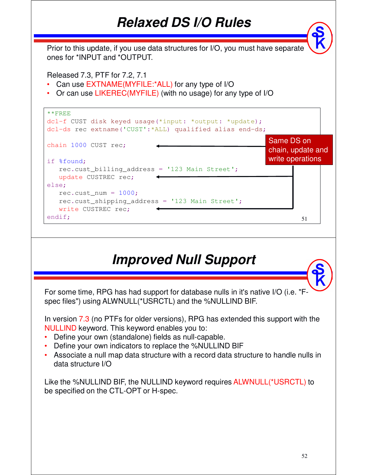#### *Relaxed DS I/O Rules*

Prior to this update, if you use data structures for I/O, you must have separate ones for \*INPUT and \*OUTPUT.

Released 7.3, PTF for 7.2, 7.1

- Can use EXTNAME(MYFILE:\*ALL) for any type of I/O
- Or can use LIKEREC(MYFILE) (with no usage) for any type of I/O

| $*$ $*$ $F$ REE<br>dcl-f CUST disk keyed usage (*input: *output: *update);<br>dcl-ds rec extname ('CUST': *ALL) qualified alias end-ds; |                                                     |  |
|-----------------------------------------------------------------------------------------------------------------------------------------|-----------------------------------------------------|--|
| chain 1000 CUST rec;<br>if %found;                                                                                                      | Same DS on<br>chain, update and<br>write operations |  |
| rec.cust_billing_address = '123 Main Street';<br>update CUSTREC rec;                                                                    |                                                     |  |
| else;                                                                                                                                   |                                                     |  |
| $rec.cust_name = 1000;$                                                                                                                 |                                                     |  |
| rec.cust_shipping_address = '123 Main Street';<br>write CUSTREC rec;                                                                    |                                                     |  |
| endif;                                                                                                                                  | 51                                                  |  |



Like the %NULLIND BIF, the NULLIND keyword requires ALWNULL(\*USRCTL) to be specified on the CTL-OPT or H-spec.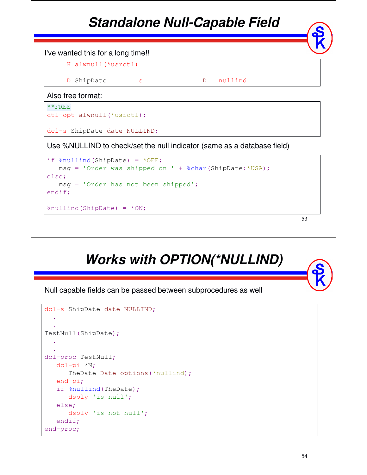### *Standalone Null-Capable Field*



```
msg = 'Order was shipped on ' + %char(ShipDate.*USA);else;
  msg = 'Order has not been shipped';
endif;
%nullind(ShipDate) = *ON;
```

```
53
```
# *Works with OPTION(\*NULLIND)*

Null capable fields can be passed between subprocedures as well

```
dcl-s ShipDate date NULLIND;
  .
  .
TestNull(ShipDate);
  .
  .
dcl-proc TestNull;
  dcl-pi *N;
      TheDate Date options(*nullind);
  end-pi;
   if %nullind(TheDate);
     dsply 'is null';
   else;
     dsply 'is not null';
   endif;
end-proc;
```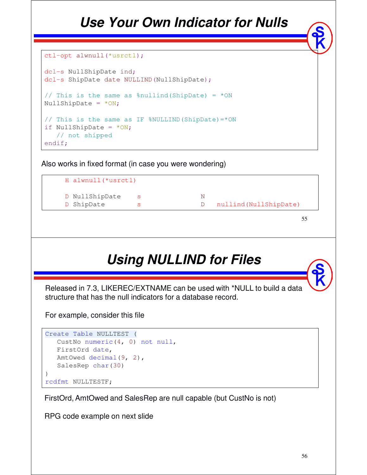### *Use Your Own Indicator for Nulls*

```
ctl-opt alwnull(*usrctl);
```

```
dcl-s NullShipDate ind;
dcl-s ShipDate date NULLIND (NullShipDate);
// This is the same as % * \frac{1}{10} and \frac{1}{10} = *ON
NullShipDate = *ON;// This is the same as IF %NULLIND(ShipDate)=*ON
if NullShipDate = *ON;// not shipped
endif;
```
Also works in fixed format (in case you were wondering)



55

# *Using NULLIND for Files*

Released in 7.3, LIKEREC/EXTNAME can be used with \*NULL to build a data structure that has the null indicators for a database record.

For example, consider this file

```
Create Table NULLTEST (
  CustNo numeric(4, 0) not null,
  FirstOrd date,
  AmtOwed decimal(9, 2),
  SalesRep char(30)
)
rcdfmt NULLTESTF;
```
FirstOrd, AmtOwed and SalesRep are null capable (but CustNo is not)

RPG code example on next slide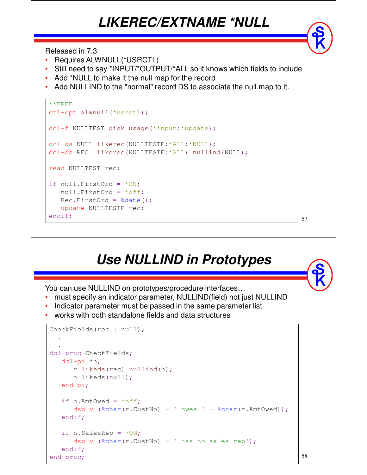#### *LIKEREC/EXTNAME \*NULL*

Released in 7.3

- Requires ALWNULL(\*USRCTL)
- Still need to say \*INPUT/\*OUTPUT/\*ALL so it knows which fields to include
- Add \*NULL to make it the null map for the record
- Add NULLIND to the "normal" record DS to associate the null map to it.

```
**FREE
ctl-opt alwnull(*usrctl);
dcl-f NULLTEST disk usage(*input:*update);
dcl-ds NULL likerec(NULLTESTF:*ALL:*NULL);
dcl-ds REC likerec(NULLTESTF:*ALL) nullind(NULL);
read NULLTEST rec;
if null.FirstOrd = *ON;null.FirstOrd = *off;
  Rec.FirstOrd = %date();
  update NULLTESTF rec;
endif;
```
# *Use NULLIND in Prototypes*

57

58

You can use NULLIND on prototypes/procedure interfaces…

- must specify an indicator parameter, NULLIND(field) not just NULLIND
- Indicator parameter must be passed in the same parameter list
- works with both standalone fields and data structures

```
CheckFields(rec : null);
  .
  .
dcl-proc CheckFields;
  dcl-pi *n;
     r likeds(rec) nullind(n);
     n likeds(null);
   end-pi;
   if n.AmtOwed = *off;
      dsply (%char(r.CustNo) + ' owes ' + %char(r.AmtOwed));
   endif;
  if n.SalesRep = *ON;dsply (%char(r.CustNo) + ' has no sales rep');
   endif;
end-proc;
```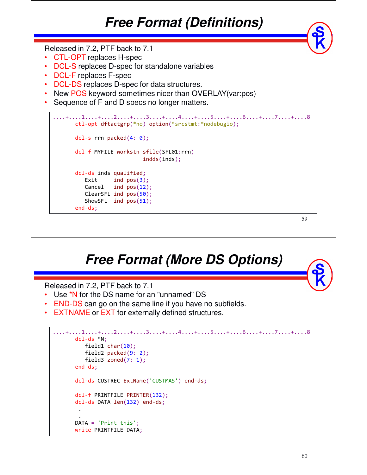#### *Free Format (Definitions)*

Released in 7.2, PTF back to 7.1

- CTL-OPT replaces H-spec
- DCL-S replaces D-spec for standalone variables
- DCL-F replaces F-spec
- DCL-DS replaces D-spec for data structures.
- New POS keyword sometimes nicer than OVERLAY(var:pos)
- Sequence of F and D specs no longer matters.

```
....+....1....+....2....+....3....+....4....+....5....+....6....+....7....+....8 
     ctl-opt dftactgrp(*no) option(*srcstmt:*nodebugio);
     dcl-s rrn packed(4: 0);
     dcl-f MYFILE workstn sfile(SFL01:rrn)
                          indds(inds);
     dcl-ds inds qualified;
        Exit ind pos(3);
        Cancel ind pos(12);
        ClearSFL ind pos(50);
        ShowSFL ind pos(51);
     end-ds;
```
59

#### *Free Format (More DS Options)*

Released in 7.2, PTF back to 7.1

- Use \*N for the DS name for an "unnamed" DS
- END-DS can go on the same line if you have no subfields.
- **EXTNAME or EXT for externally defined structures.**

```
....+....1....+....2....+....3....+....4....+....5....+....6....+....7....+....8 
      dcl-ds *N;
         field1 char(10);
         field2 packed(9: 2);
         field3 zoned(7: 1);
      end-ds;
      dcl-ds CUSTREC ExtName('CUSTMAS') end-ds;
      dcl-f PRINTFILE PRINTER(132);
      dcl-ds DATA len(132) end-ds;
        .
        .
      DATA = 'Print this';
      write PRINTFILE DATA;
```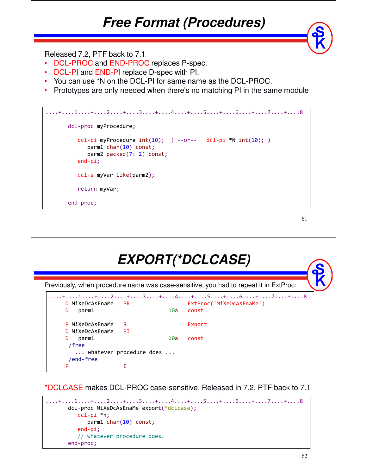#### *Free Format (Procedures)*

Released 7.2, PTF back to 7.1

- DCL-PROC and END-PROC replaces P-spec.
- DCL-PI and END-PI replace D-spec with PI.
- You can use \*N on the DCL-PI for same name as the DCL-PROC.
- Prototypes are only needed when there's no matching PI in the same module

```
....+....1....+....2....+....3....+....4....+....5....+....6....+....7....+....8 
      dcl-proc myProcedure;
         dcl-pi myProcedure int(10); ( --or-- dcl-pi *N int(10); )
            parm1 char(10) const;
            parm2 packed(7: 2) const;
         end-pi;
         dcl-s myVar like(parm2);
         return myVar;
      end-proc;
```

```
61
```

|                               |                         |     | EXPORT(*DCLCASE)                                                                     |
|-------------------------------|-------------------------|-----|--------------------------------------------------------------------------------------|
|                               |                         |     |                                                                                      |
|                               |                         |     | Previously, when procedure name was case-sensitive, you had to repeat it in ExtProc: |
|                               |                         |     | +1+2+3+4+5+6+7+8                                                                     |
| D MiXeDcAsEnaMe<br>D<br>parm1 | <b>PR</b>               | 10a | ExtProc('MiXeDcAsEnaMe')<br>const                                                    |
|                               |                         |     |                                                                                      |
| P MiXeDcAsEnaMe               | B.                      |     | Export                                                                               |
| MiXeDcAsEnaMe<br>D.           | PI                      |     |                                                                                      |
| parm1<br>D<br>/free           |                         | 10a | const                                                                                |
| /end-free                     | whatever procedure does |     |                                                                                      |
| P                             | E                       |     |                                                                                      |

\*DCLCASE makes DCL-PROC case-sensitive. Released in 7.2, PTF back to 7.1

```
....+....1....+....2....+....3....+....4....+....5....+....6....+....7....+....8 
      dcl-proc MiXeDcAsEnaMe export(*dclcase);
         dcl-pi *n;
            parm1 char(10) const;
         end-pi;
          // whatever procedure does. 
      end-proc;
```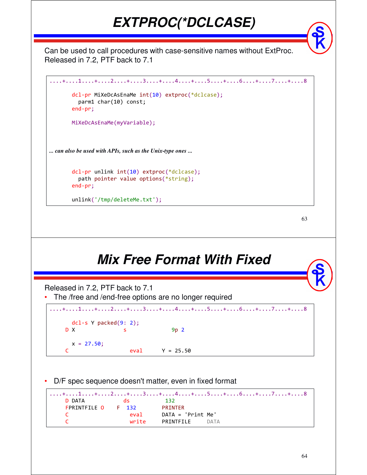### *EXTPROC(\*DCLCASE)*

Can be used to call procedures with case-sensitive names without ExtProc. Released in 7.2, PTF back to 7.1

```
....+....1....+....2....+....3....+....4....+....5....+....6....+....7....+....8 
       dcl-pr MiXeDcAsEnaMe int(10) extproc(*dclcase);
         parm1 char(10) const;
       end-pr; 
       MiXeDcAsEnaMe(myVariable);
... can also be used with APIs, such as the Unix-type ones ...
       dcl-pr unlink int(10) extproc(*dclcase);
         path pointer value options(*string);
       end-pr;
```
63

#### *Mix Free Format With Fixed*

Released in 7.2, PTF back to 7.1

unlink('/tmp/deleteMe.txt');

The /free and /end-free options are no longer required

```
....+....1....+....2....+....3....+....4....+....5....+....6....+....7....+....8 
    dcl-s Y packed(9: 2);
  D X s 9p 2
    x = 27.50;
  C eval Y = 25.50
```
D/F spec sequence doesn't matter, even in fixed format

```
....+....1....+....2....+....3....+....4....+....5....+....6....+....7....+....8 
  D DATA ds 132
  FPRINTFILE O F 132 PRINTER
  C eval DATA = 'Print Me'
  C write PRINTFILE DATA
```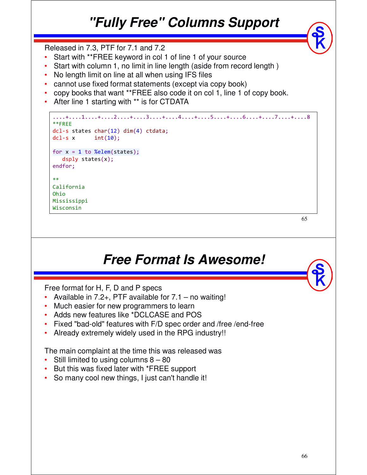# *"Fully Free" Columns Support*

Released in 7.3, PTF for 7.1 and 7.2

- Start with \*\*FREE keyword in col 1 of line 1 of your source
- Start with column 1, no limit in line length (aside from record length )
- No length limit on line at all when using IFS files
- cannot use fixed format statements (except via copy book)
- copy books that want \*\*FREE also code it on col 1, line 1 of copy book.
- After line 1 starting with \*\* is for CTDATA



65

#### *Free Format Is Awesome!*

Free format for H, F, D and P specs

- Available in 7.2+, PTF available for 7.1 no waiting!
- Much easier for new programmers to learn
- Adds new features like \*DCLCASE and POS
- Fixed "bad-old" features with F/D spec order and /free /end-free
- Already extremely widely used in the RPG industry!!

The main complaint at the time this was released was

- Still limited to using columns  $8 80$
- But this was fixed later with \*FREE support
- So many cool new things, I just can't handle it!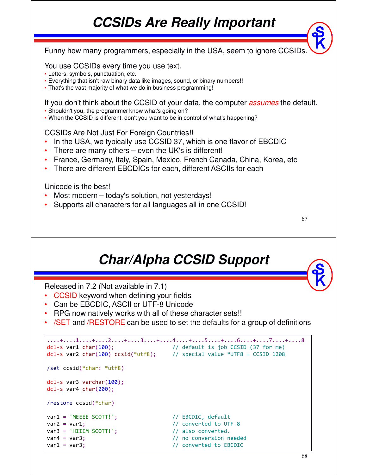### *CCSIDs Are Really Important*

67 Funny how many programmers, especially in the USA, seem to ignore CCSIDs. You use CCSIDs every time you use text. • Letters, symbols, punctuation, etc. • Everything that isn't raw binary data like images, sound, or binary numbers!! • That's the vast majority of what we do in business programming! If you don't think about the CCSID of your data, the computer *assumes* the default. • Shouldn't you, the programmer know what's going on? • When the CCSID is different, don't you want to be in control of what's happening? CCSIDs Are Not Just For Foreign Countries!! • In the USA, we typically use CCSID 37, which is one flavor of EBCDIC There are many others  $-$  even the UK's is different! • France, Germany, Italy, Spain, Mexico, French Canada, China, Korea, etc • There are different EBCDICs for each, different ASCIIs for each Unicode is the best! Most modern – today's solution, not yesterdays! • Supports all characters for all languages all in one CCSID! *Char/Alpha CCSID Support*

Released in 7.2 (Not available in 7.1)

- CCSID keyword when defining your fields
- Can be EBCDIC, ASCII or UTF-8 Unicode
- RPG now natively works with all of these character sets!!
- /SET and /RESTORE can be used to set the defaults for a group of definitions

```
....+....1....+....2....+....3....+....4....+....5....+....6....+....7....+....8 
dcl-s var1 char(100); // default is job CCSID (37 for me)
dcl-s var2 char(100) ccsid(*utf8); // special value *UTF8 = CCSID 1208
/set ccsid(*char: *utf8)
dcl-s var3 varchar(100);
dcl-s var4 char(200);
/restore ccsid(*char)
var1 = 'MEEEE SCOTT!'; // EBCDIC, default
var2 = var1; \sqrt{2} / converted to UTF-8
var3 = 'HIIIM SCOTT!'; // also converted.
var4 = var3; extending the variation of the variation of \ell no conversion needed
var1 = var3; \sqrt{2} // converted to EBCDIC
```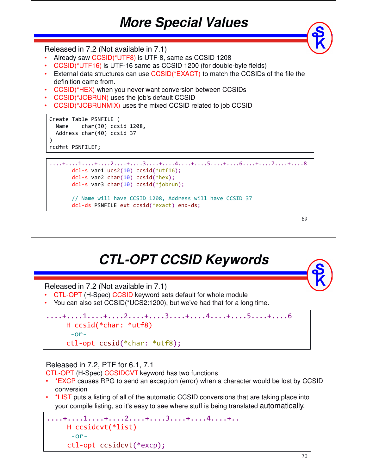#### *More Special Values*

Released in 7.2 (Not available in 7.1)

- Already saw CCSID(\*UTF8) is UTF-8, same as CCSID 1208
- CCSID(\*UTF16) is UTF-16 same as CCSID 1200 (for double-byte fields)
- External data structures can use CCSID(\*EXACT) to match the CCSIDs of the file the definition came from.
- CCSID(\*HEX) when you never want conversion between CCSIDs
- CCSID(\*JOBRUN) uses the job's default CCSID
- CCSID(\*JOBRUNMIX) uses the mixed CCSID related to job CCSID

```
Create Table PSNFILE ( 
 Name char(30) ccsid 1208,
  Address char(40) ccsid 37 
)
```
rcdfmt PSNFILEF;

```
....+....1....+....2....+....3....+....4....+....5....+....6....+....7....+....8 
      dcl-s var1 ucs2(10) ccsid(*utf16);dcl-s var2 char(10) ccsid(*hex);
     dcl-s var3 char(10) ccsid(*jobrun);
```
// Name will have CCSID 1208, Address will have CCSID 37 dcl-ds PSNFILE ext ccsid(\*exact) end-ds;

69

#### *CTL-OPT CCSID Keywords*

Released in 7.2 (Not available in 7.1)

- CTL-OPT (H-Spec) CCSID keyword sets default for whole module
- You can also set CCSID(\*UCS2:1200), but we've had that for a long time.

```
\dots+\dots....+\dots....+\dots....+....3....+....4....+....5....+.....6
   H ccsid(*char: *utf8)
    -or-
   ctl-opt ccsid(*char: *utf8);
```
#### Released in 7.2, PTF for 6.1, 7.1

CTL-OPT (H-Spec) CCSIDCVT keyword has two functions

- \*EXCP causes RPG to send an exception (error) when a character would be lost by CCSID conversion
- \*LIST puts a listing of all of the automatic CCSID conversions that are taking place into your compile listing, so it's easy to see where stuff is being translated automatically.

```
....+....1....+....2....+....3....+....4....+..
    H ccsidcvt(*list)
     -or-
    ctl-opt ccsidcvt(*excp);
```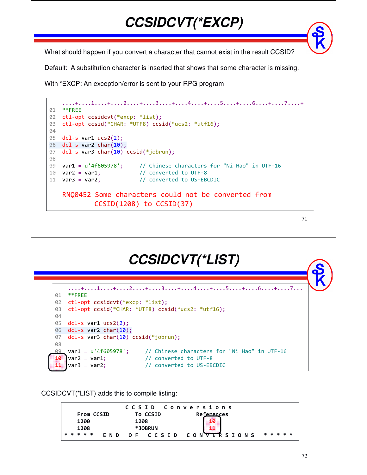What should happen if you convert a character that cannot exist in the result CCSID?

*CCSIDCVT(\*EXCP)*

Default: A substitution character is inserted that shows that some character is missing.

With \*EXCP: An exception/error is sent to your RPG program



```
71
```
#### *CCSIDCVT(\*LIST)*

```
....+....1....+....2....+....3....+....4....+....5....+....6....+....7...
01 **FREE
02 ctl-opt ccsidcvt(*excp: *list);
03 ctl-opt ccsid(*CHAR: *UTF8) ccsid(*ucs2: *utf16);
04
05 dcl-s var1 ucs2(2);
06 dcl-s var2 char(10);
07 dcl-s var3 char(10) ccsid(*jobrun);
08
09 var1 = u'4f605978'; // Chinese characters for "Ni Hao" in UTF-16 
10 var2 = var1; \frac{1}{20} converted to UTF-8
11 var3 = var2; \frac{1}{2} // converted to US-EBCDIC
```
CCSIDCVT(\*LIST) adds this to compile listing:

|  |           |                   |  |                                |      | CCSID Conversions |  |  |  |  |  |                   |  |  |  |  |  |
|--|-----------|-------------------|--|--------------------------------|------|-------------------|--|--|--|--|--|-------------------|--|--|--|--|--|
|  |           | <b>From CCSID</b> |  |                                |      | <b>To CCSID</b>   |  |  |  |  |  | <b>References</b> |  |  |  |  |  |
|  | 1200      |                   |  |                                | 1208 |                   |  |  |  |  |  |                   |  |  |  |  |  |
|  | 1208      |                   |  |                                |      | *JOBRUN           |  |  |  |  |  |                   |  |  |  |  |  |
|  | * * * * * |                   |  | END OF CCSID CONVERSIONS ***** |      |                   |  |  |  |  |  |                   |  |  |  |  |  |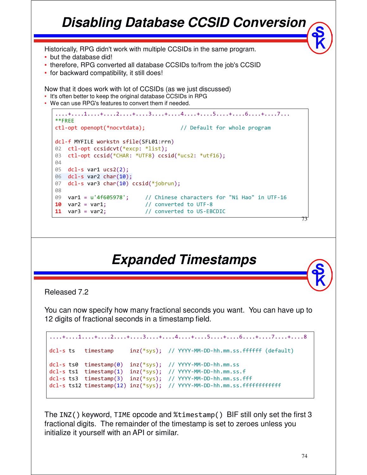#### ....+....1....+....2....+....3....+....4....+....5....+....6....+....7... \*\*FREE ctl-opt openopt(\*nocvtdata); // Default for whole program dcl-f MYFILE workstn sfile(SFL01:rrn) 02 ctl-opt ccsidcvt(\*excp: \*list); 03 ctl-opt ccsid(\*CHAR: \*UTF8) ccsid(\*ucs2: \*utf16); 04 05 dcl-s var1 ucs2(2); 06 dcl-s var2 char(10); 07 dcl-s var3 char(10) ccsid(\*jobrun); 08 09 var1 = u'4f605978'; // Chinese characters for "Ni Hao" in UTF-16 10 var2 = var1;  $\frac{1}{2}$  // converted to UTF-8 11 var3 = var2; // converted to US-EBCDIC 73 *Disabling Database CCSID Conversion* Historically, RPG didn't work with multiple CCSIDs in the same program. • but the database did! • therefore, RPG converted all database CCSIDs to/from the job's CCSID • for backward compatibility, it still does! Now that it does work with lot of CCSIDs (as we just discussed) • It's often better to keep the original database CCSIDs in RPG • We can use RPG's features to convert them if needed.

#### *Expanded Timestamps*

Released 7.2

You can now specify how many fractional seconds you want. You can have up to 12 digits of fractional seconds in a timestamp field.

```
....+....1....+....2....+....3....+....4....+....5....+....6....+....7....+....8 
dcl-s ts timestamp inz(*sys); // YYYY-MM-DD-hh.mm.ss.ffffff (default)
dcl-s ts0 timestamp(0) inz(*sys); // YYYY-MM-DD-hh.mm.ss
dcl-s ts1 timestamp(1) inz(*sys); // YYYY-MM-DD-hh.mm.ss.f
dcl-s ts3 timestamp(3) inz(*sys); // YYYY-MM-DD-hh.mm.ss.fff
dcl-s ts12 timestamp(12) inz(*sys); // YYYY-MM-DD-hh.mm.ss.ffffffffffff
```
The INZ() keyword, TIME opcode and %timestamp() BIF still only set the first 3 fractional digits. The remainder of the timestamp is set to zeroes unless you initialize it yourself with an API or similar.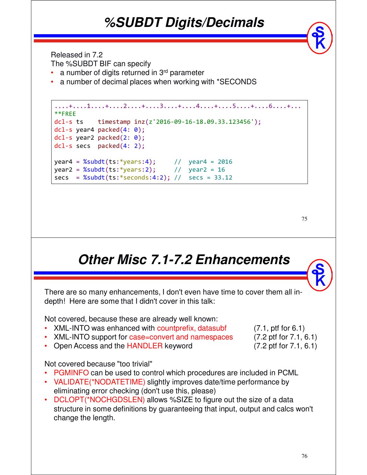#### *%SUBDT Digits/Decimals*

Released in 7.2

The %SUBDT BIF can specify

- a number of digits returned in 3<sup>rd</sup> parameter
- a number of decimal places when working with \*SECONDS

```
....+....1....+....2....+....3....+....4....+....5....+....6....+...
**FREE
dcl-s ts timestamp inz(z'2016-09-16-18.09.33.123456');
dcl-s year4 packed(4: 0);
dcl-s year2 packed(2: 0);dcl-s secs packed(4: 2);
year4 = %subdt(ts: *years:4); // year4 = 2016year2 = %subdt(ts: *years:2); // year2 = 16secs = %subdt(ts; *seconds:4:2); // secs = 33.12
```

```
75
```
# *Other Misc 7.1-7.2 Enhancements*

There are so many enhancements, I don't even have time to cover them all indepth! Here are some that I didn't cover in this talk:

Not covered, because these are already well known:

- XML-INTO was enhanced with countprefix, datasubf (7.1, ptf for 6.1)
- XML-INTO support for case=convert and namespaces (7.2 ptf for 7.1, 6.1)
- Open Access and the HANDLER keyword (7.2 ptf for 7.1, 6.1)

#### Not covered because "too trivial"

- PGMINFO can be used to control which procedures are included in PCML
- VALIDATE(\*NODATETIME) slightly improves date/time performance by eliminating error checking (don't use this, please)
- DCLOPT(\*NOCHGDSLEN) allows %SIZE to figure out the size of a data structure in some definitions by guaranteeing that input, output and calcs won't change the length.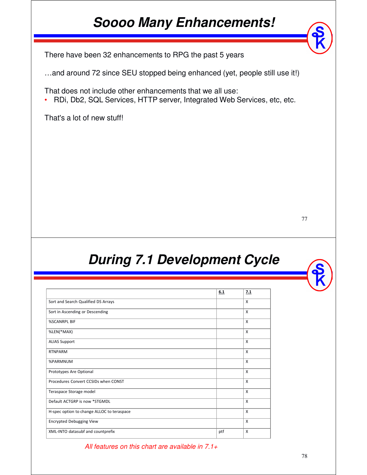### *Soooo Many Enhancements!*

There have been 32 enhancements to RPG the past 5 years

…and around 72 since SEU stopped being enhanced (yet, people still use it!)

That does not include other enhancements that we all use:

• RDi, Db2, SQL Services, HTTP server, Integrated Web Services, etc, etc.

That's a lot of new stuff!

77

#### *During 7.1 Development Cycle*

|                                            | 6.1 | 7.1                       |
|--------------------------------------------|-----|---------------------------|
| Sort and Search Qualified DS Arrays        |     | X                         |
| Sort in Ascending or Descending            |     | $\boldsymbol{\mathsf{x}}$ |
| <b>%SCANRPL BIF</b>                        |     | X                         |
| %LEN(*MAX)                                 |     | X                         |
| <b>ALIAS Support</b>                       |     | X                         |
| <b>RTNPARM</b>                             |     | X                         |
| %PARMNUM                                   |     | X                         |
| Prototypes Are Optional                    |     | X                         |
| Procedures Convert CCSIDs when CONST       |     | $\boldsymbol{\mathsf{x}}$ |
| Teraspace Storage model                    |     | X                         |
| Default ACTGRP is now *STGMDL              |     | $\boldsymbol{\mathsf{x}}$ |
| H-spec option to change ALLOC to teraspace |     | X                         |
| <b>Encrypted Debugging View</b>            |     | X                         |
| XML-INTO datasubf and countprefix          | ptf | X                         |

All features on this chart are available in  $7.1+$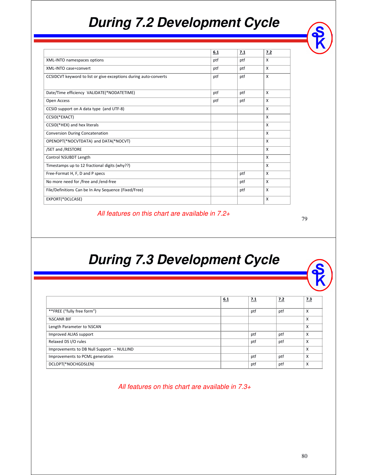### *During 7.2 Development Cycle*

|                                                                  | 6.1 | 7.1 | 7.2          |
|------------------------------------------------------------------|-----|-----|--------------|
| XML-INTO namespaces options                                      | ptf | ptf | X            |
| XML-INTO case=convert                                            | ptf | ptf | X            |
| CCSIDCVT keyword to list or give exceptions during auto-converts | ptf | ptf | X            |
| Date/Time efficiency VALIDATE(*NODATETIME)                       | ptf | ptf | X            |
| Open Access                                                      | ptf | ptf | X            |
| CCSID support on A data type (and UTF-8)                         |     |     | X            |
| CCSID(*EXACT)                                                    |     |     | X            |
| CCSID(*HEX) and hex literals                                     |     |     | X            |
| <b>Conversion During Concatenation</b>                           |     |     | X            |
| OPENOPT(*NOCVTDATA) and DATA(*NOCVT)                             |     |     | X            |
| /SET and /RESTORE                                                |     |     | X            |
| Control %SUBDT Length                                            |     |     | X            |
| Timestamps up to 12 fractional digits (why??)                    |     |     | X            |
| Free-Format H, F, D and P specs                                  |     | ptf | X            |
| No more need for /free and /end-free                             |     | ptf | X            |
| File/Definitions Can be In Any Sequence (Fixed/Free)             |     | ptf | X            |
| EXPORT(*DCLCASE)                                                 |     |     | $\mathsf{x}$ |

All features on this chart are available in 7.2+

79

#### *During 7.3 Development Cycle*

|                                            | 6.1 | <u>7.1</u> | <u>7.2</u> | <u>7.3</u> |
|--------------------------------------------|-----|------------|------------|------------|
| **FREE ("fully free form")                 |     | ptf        | ptf        | X          |
| %SCANR BIF                                 |     |            |            | X          |
| Length Parameter to %SCAN                  |     |            |            | X          |
| Improved ALIAS support                     |     | ptf        | ptf        | X          |
| Relaxed DS I/O rules                       |     | ptf        | ptf        | X          |
| Improvements to DB Null Support -- NULLIND |     |            |            | X          |
| Improvements to PCML generation            |     | ptf        | ptf        | X          |
| DCLOPT(*NOCHGDSLEN)                        |     | ptf        | ptf        | X          |

All features on this chart are available in 7.3+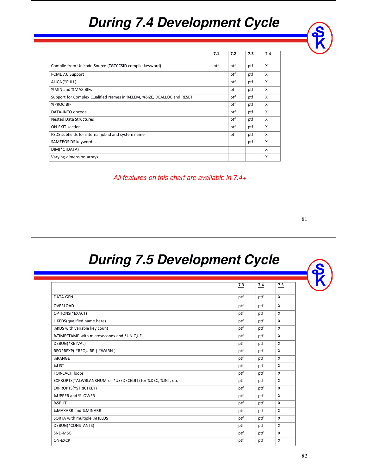### *During 7.4 Development Cycle*

| 7.2<br>ptf | 7.3 | 7.4 |
|------------|-----|-----|
|            |     |     |
|            |     | X   |
| ptf        | ptf | X   |
| ptf        | ptf | X   |
| ptf        | ptf | X   |
| ptf        | ptf | X   |
| ptf        | ptf | X   |
| ptf        | ptf | X   |
| ptf        | ptf | X   |
| ptf        | ptf | X   |
| ptf        | ptf | X   |
|            | ptf | X   |
|            |     | X   |
|            |     | X   |
|            |     | ptf |

All features on this chart are available in 7.4+

81

#### *During 7.5 Development Cycle*

|                                                           | 7.3 | 7.4 | 7.5      |
|-----------------------------------------------------------|-----|-----|----------|
| DATA-GEN                                                  | ptf | ptf | $\times$ |
| OVERLOAD                                                  | ptf | ptf | $\times$ |
| OPTIONS(*EXACT)                                           | ptf | ptf | X        |
| LIKEDS(qualified.name.here)                               | ptf | ptf | X        |
| %KDS with variable key count                              | ptf | ptf | X        |
| %TIMESTAMP with microseconds and *UNIQUE                  | ptf | ptf | X        |
| DEBUG(*RETVAL)                                            | ptf | ptf | X        |
| REQPREXP( *REQUIRE   *WARN )                              | ptf | ptf | X        |
| %RANGE                                                    | ptf | ptf | $\times$ |
| %LIST                                                     | ptf | ptf | X        |
| FOR-EACH loops                                            | ptf | ptf | X        |
| EXPROPTS(*ALWBLANKNUM or *USEDECEDIT) for %DEC, %INT, etc | ptf | ptf | X        |
| EXPROPTS(*STRICTKEY)                                      | ptf | ptf | X        |
| %UPPER and %LOWER                                         | ptf | ptf | X        |
| %SPLIT                                                    | ptf | ptf | X        |
| %MAXARR and %MINARR                                       | ptf | ptf | X        |
| SORTA with multiple %FIELDS                               | ptf | ptf | X        |
| DEBUG(*CONSTANTS)                                         | ptf | ptf | X        |
| SND-MSG                                                   | ptf | ptf | X        |
| ON-EXCP                                                   | ptf | ptf | X        |